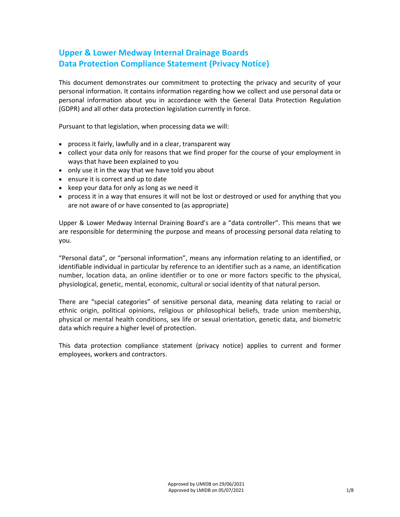# **Upper & Lower Medway Internal Drainage Boards Data Protection Compliance Statement (Privacy Notice)**

This document demonstrates our commitment to protecting the privacy and security of your personal information. It contains information regarding how we collect and use personal data or personal information about you in accordance with the General Data Protection Regulation (GDPR) and all other data protection legislation currently in force.

Pursuant to that legislation, when processing data we will:

- process it fairly, lawfully and in a clear, transparent way
- collect your data only for reasons that we find proper for the course of your employment in ways that have been explained to you
- only use it in the way that we have told you about
- ensure it is correct and up to date
- keep your data for only as long as we need it
- process it in a way that ensures it will not be lost or destroyed or used for anything that you are not aware of or have consented to (as appropriate)

Upper & Lower Medway Internal Draining Board's are a "data controller". This means that we are responsible for determining the purpose and means of processing personal data relating to you.

"Personal data", or "personal information", means any information relating to an identified, or identifiable individual in particular by reference to an identifier such as a name, an identification number, location data, an online identifier or to one or more factors specific to the physical, physiological, genetic, mental, economic, cultural or social identity of that natural person.

There are "special categories" of sensitive personal data, meaning data relating to racial or ethnic origin, political opinions, religious or philosophical beliefs, trade union membership, physical or mental health conditions, sex life or sexual orientation, genetic data, and biometric data which require a higher level of protection.

This data protection compliance statement (privacy notice) applies to current and former employees, workers and contractors.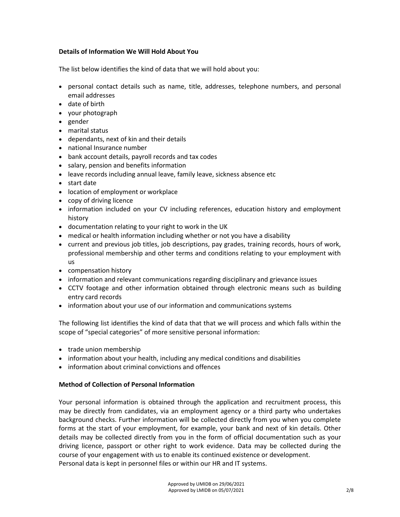## **Details of Information We Will Hold About You**

The list below identifies the kind of data that we will hold about you:

- personal contact details such as name, title, addresses, telephone numbers, and personal email addresses
- date of birth
- your photograph
- gender
- marital status
- dependants, next of kin and their details
- national Insurance number
- bank account details, payroll records and tax codes
- salary, pension and benefits information
- leave records including annual leave, family leave, sickness absence etc
- start date
- location of employment or workplace
- copy of driving licence
- information included on your CV including references, education history and employment history
- documentation relating to your right to work in the UK
- medical or health information including whether or not you have a disability
- current and previous job titles, job descriptions, pay grades, training records, hours of work, professional membership and other terms and conditions relating to your employment with us
- compensation history
- information and relevant communications regarding disciplinary and grievance issues
- CCTV footage and other information obtained through electronic means such as building entry card records
- information about your use of our information and communications systems

The following list identifies the kind of data that that we will process and which falls within the scope of "special categories" of more sensitive personal information:

- trade union membership
- information about your health, including any medical conditions and disabilities
- information about criminal convictions and offences

#### **Method of Collection of Personal Information**

Your personal information is obtained through the application and recruitment process, this may be directly from candidates, via an employment agency or a third party who undertakes background checks. Further information will be collected directly from you when you complete forms at the start of your employment, for example, your bank and next of kin details. Other details may be collected directly from you in the form of official documentation such as your driving licence, passport or other right to work evidence. Data may be collected during the course of your engagement with us to enable its continued existence or development. Personal data is kept in personnel files or within our HR and IT systems.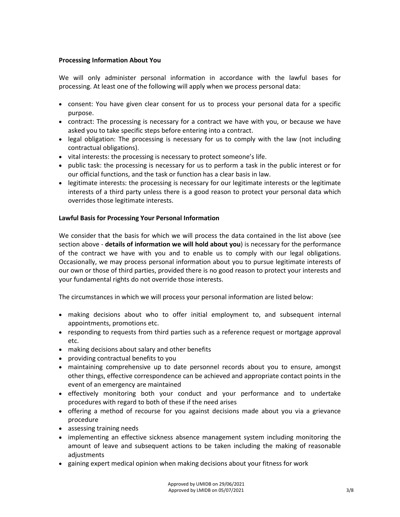## **Processing Information About You**

We will only administer personal information in accordance with the lawful bases for processing. At least one of the following will apply when we process personal data:

- consent: You have given clear consent for us to process your personal data for a specific purpose.
- contract: The processing is necessary for a contract we have with you, or because we have asked you to take specific steps before entering into a contract.
- legal obligation: The processing is necessary for us to comply with the law (not including contractual obligations).
- vital interests: the processing is necessary to protect someone's life.
- public task: the processing is necessary for us to perform a task in the public interest or for our official functions, and the task or function has a clear basis in law.
- legitimate interests: the processing is necessary for our legitimate interests or the legitimate interests of a third party unless there is a good reason to protect your personal data which overrides those legitimate interests.

# **Lawful Basis for Processing Your Personal Information**

We consider that the basis for which we will process the data contained in the list above (see section above - **details of information we will hold about you**) is necessary for the performance of the contract we have with you and to enable us to comply with our legal obligations. Occasionally, we may process personal information about you to pursue legitimate interests of our own or those of third parties, provided there is no good reason to protect your interests and your fundamental rights do not override those interests.

The circumstances in which we will process your personal information are listed below:

- making decisions about who to offer initial employment to, and subsequent internal appointments, promotions etc.
- responding to requests from third parties such as a reference request or mortgage approval etc.
- making decisions about salary and other benefits
- providing contractual benefits to you
- maintaining comprehensive up to date personnel records about you to ensure, amongst other things, effective correspondence can be achieved and appropriate contact points in the event of an emergency are maintained
- effectively monitoring both your conduct and your performance and to undertake procedures with regard to both of these if the need arises
- offering a method of recourse for you against decisions made about you via a grievance procedure
- assessing training needs
- implementing an effective sickness absence management system including monitoring the amount of leave and subsequent actions to be taken including the making of reasonable adjustments
- gaining expert medical opinion when making decisions about your fitness for work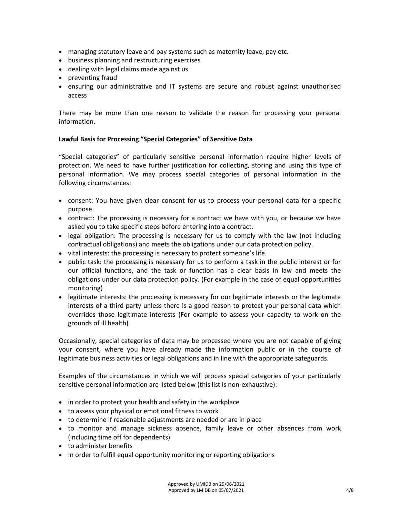- managing statutory leave and pay systems such as maternity leave, pay etc.
- business planning and restructuring exercises
- dealing with legal claims made against us
- preventing fraud
- ensuring our administrative and IT systems are secure and robust against unauthorised access

There may be more than one reason to validate the reason for processing your personal information.

#### **Lawful Basis for Processing "Special Categories" of Sensitive Data**

"Special categories" of particularly sensitive personal information require higher levels of protection. We need to have further justification for collecting, storing and using this type of personal information. We may process special categories of personal information in the following circumstances:

- consent: You have given clear consent for us to process your personal data for a specific purpose.
- contract: The processing is necessary for a contract we have with you, or because we have asked you to take specific steps before entering into a contract.
- legal obligation: The processing is necessary for us to comply with the law (not including contractual obligations) and meets the obligations under our data protection policy.
- vital interests: the processing is necessary to protect someone's life.
- public task: the processing is necessary for us to perform a task in the public interest or for our official functions, and the task or function has a clear basis in law and meets the obligations under our data protection policy. (For example in the case of equal opportunities monitoring)
- legitimate interests: the processing is necessary for our legitimate interests or the legitimate interests of a third party unless there is a good reason to protect your personal data which overrides those legitimate interests (For example to assess your capacity to work on the grounds of ill health)

Occasionally, special categories of data may be processed where you are not capable of giving your consent, where you have already made the information public or in the course of legitimate business activities or legal obligations and in line with the appropriate safeguards.

Examples of the circumstances in which we will process special categories of your particularly sensitive personal information are listed below (this list is non-exhaustive):

- in order to protect your health and safety in the workplace
- to assess your physical or emotional fitness to work
- to determine if reasonable adjustments are needed or are in place
- to monitor and manage sickness absence, family leave or other absences from work (including time off for dependents)
- to administer benefits
- In order to fulfill equal opportunity monitoring or reporting obligations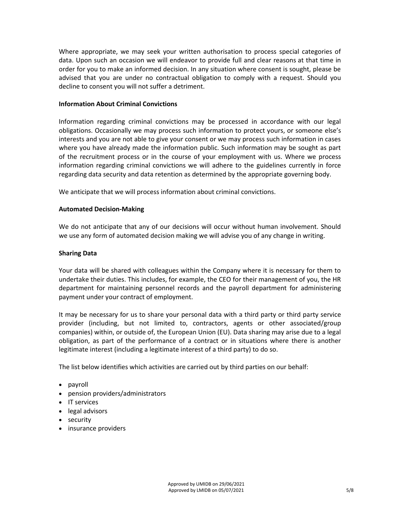Where appropriate, we may seek your written authorisation to process special categories of data. Upon such an occasion we will endeavor to provide full and clear reasons at that time in order for you to make an informed decision. In any situation where consent is sought, please be advised that you are under no contractual obligation to comply with a request. Should you decline to consent you will not suffer a detriment.

#### **Information About Criminal Convictions**

Information regarding criminal convictions may be processed in accordance with our legal obligations. Occasionally we may process such information to protect yours, or someone else's interests and you are not able to give your consent or we may process such information in cases where you have already made the information public. Such information may be sought as part of the recruitment process or in the course of your employment with us. Where we process information regarding criminal convictions we will adhere to the guidelines currently in force regarding data security and data retention as determined by the appropriate governing body.

We anticipate that we will process information about criminal convictions.

# **Automated Decision-Making**

We do not anticipate that any of our decisions will occur without human involvement. Should we use any form of automated decision making we will advise you of any change in writing.

# **Sharing Data**

Your data will be shared with colleagues within the Company where it is necessary for them to undertake their duties. This includes, for example, the CEO for their management of you, the HR department for maintaining personnel records and the payroll department for administering payment under your contract of employment.

It may be necessary for us to share your personal data with a third party or third party service provider (including, but not limited to, contractors, agents or other associated/group companies) within, or outside of, the European Union (EU). Data sharing may arise due to a legal obligation, as part of the performance of a contract or in situations where there is another legitimate interest (including a legitimate interest of a third party) to do so.

The list below identifies which activities are carried out by third parties on our behalf:

- payroll
- pension providers/administrators
- IT services
- legal advisors
- security
- insurance providers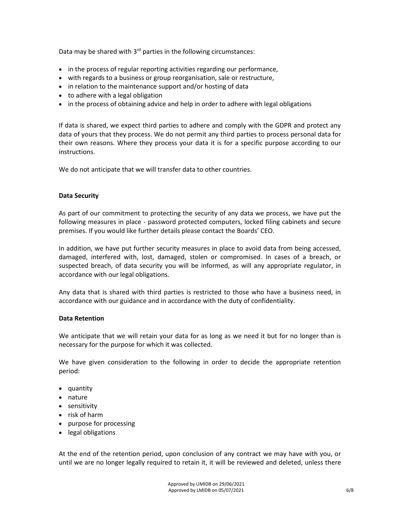Data may be shared with  $3<sup>rd</sup>$  parties in the following circumstances:

- in the process of regular reporting activities regarding our performance,
- with regards to a business or group reorganisation, sale or restructure,
- in relation to the maintenance support and/or hosting of data
- to adhere with a legal obligation
- in the process of obtaining advice and help in order to adhere with legal obligations

If data is shared, we expect third parties to adhere and comply with the GDPR and protect any data of yours that they process. We do not permit any third parties to process personal data for their own reasons. Where they process your data it is for a specific purpose according to our instructions.

We do not anticipate that we will transfer data to other countries.

#### **Data Security**

As part of our commitment to protecting the security of any data we process, we have put the following measures in place - password protected computers, locked filing cabinets and secure premises. If you would like further details please contact the Boards' CEO.

In addition, we have put further security measures in place to avoid data from being accessed, damaged, interfered with, lost, damaged, stolen or compromised. In cases of a breach, or suspected breach, of data security you will be informed, as will any appropriate regulator, in accordance with our legal obligations.

Any data that is shared with third parties is restricted to those who have a business need, in accordance with our guidance and in accordance with the duty of confidentiality.

#### **Data Retention**

We anticipate that we will retain your data for as long as we need it but for no longer than is necessary for the purpose for which it was collected.

We have given consideration to the following in order to decide the appropriate retention period:

- quantity
- nature
- sensitivity
- risk of harm
- purpose for processing
- legal obligations

At the end of the retention period, upon conclusion of any contract we may have with you, or until we are no longer legally required to retain it, it will be reviewed and deleted, unless there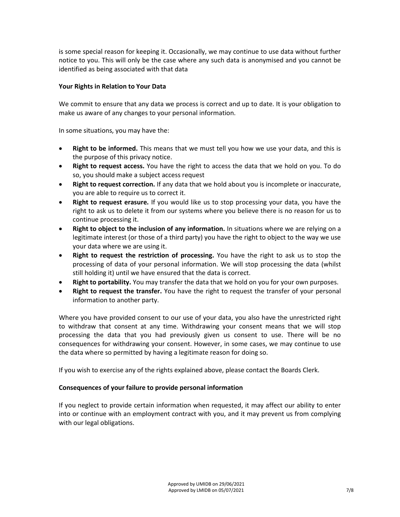is some special reason for keeping it. Occasionally, we may continue to use data without further notice to you. This will only be the case where any such data is anonymised and you cannot be identified as being associated with that data

## **Your Rights in Relation to Your Data**

We commit to ensure that any data we process is correct and up to date. It is your obligation to make us aware of any changes to your personal information.

In some situations, you may have the:

- **Right to be informed.** This means that we must tell you how we use your data, and this is the purpose of this privacy notice.
- **Right to request access.** You have the right to access the data that we hold on you. To do so, you should make a subject access request
- **Right to request correction.** If any data that we hold about you is incomplete or inaccurate, you are able to require us to correct it.
- **Right to request erasure.** If you would like us to stop processing your data, you have the right to ask us to delete it from our systems where you believe there is no reason for us to continue processing it.
- **Right to object to the inclusion of any information.** In situations where we are relying on a legitimate interest (or those of a third party) you have the right to object to the way we use your data where we are using it.
- **Right to request the restriction of processing.** You have the right to ask us to stop the processing of data of your personal information. We will stop processing the data (whilst still holding it) until we have ensured that the data is correct.
- **Right to portability.** You may transfer the data that we hold on you for your own purposes.
- **Right to request the transfer.** You have the right to request the transfer of your personal information to another party.

Where you have provided consent to our use of your data, you also have the unrestricted right to withdraw that consent at any time. Withdrawing your consent means that we will stop processing the data that you had previously given us consent to use. There will be no consequences for withdrawing your consent. However, in some cases, we may continue to use the data where so permitted by having a legitimate reason for doing so.

If you wish to exercise any of the rights explained above, please contact the Boards Clerk.

# **Consequences of your failure to provide personal information**

If you neglect to provide certain information when requested, it may affect our ability to enter into or continue with an employment contract with you, and it may prevent us from complying with our legal obligations.